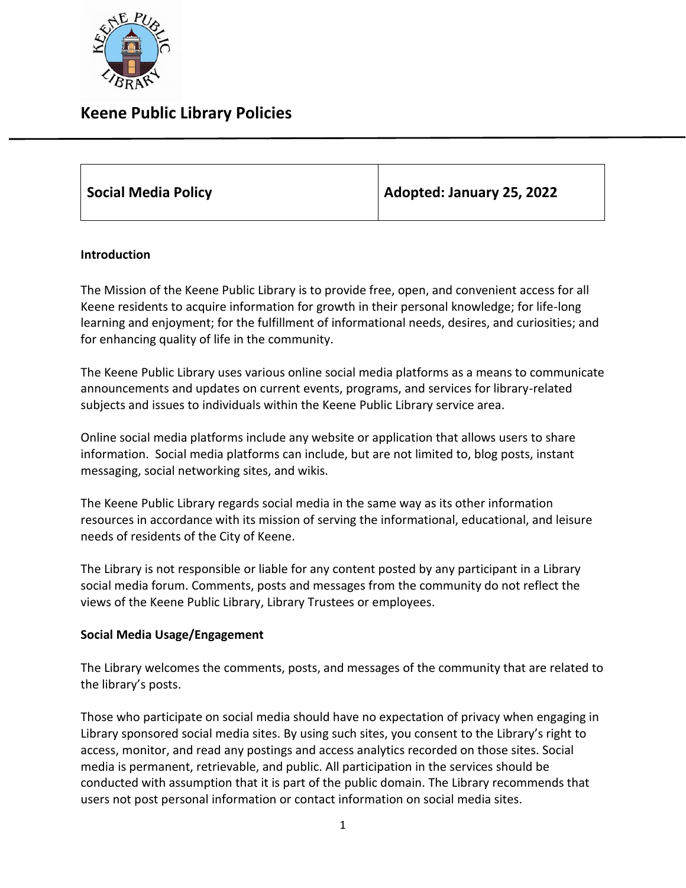

### **Keene Public Library Policies**

| Adopted: January 25, 2022<br>Social Media Policy |  |  |
|--------------------------------------------------|--|--|
|--------------------------------------------------|--|--|

### **Introduction**

The Mission of the Keene Public Library is to provide free, open, and convenient access for all Keene residents to acquire information for growth in their personal knowledge; for life-long learning and enjoyment; for the fulfillment of informational needs, desires, and curiosities; and for enhancing quality of life in the community.

The Keene Public Library uses various online social media platforms as a means to communicate announcements and updates on current events, programs, and services for library-related subjects and issues to individuals within the Keene Public Library service area.

Online social media platforms include any website or application that allows users to share information. Social media platforms can include, but are not limited to, blog posts, instant messaging, social networking sites, and wikis.

The Keene Public Library regards social media in the same way as its other information resources in accordance with its mission of serving the informational, educational, and leisure needs of residents of the City of Keene.

The Library is not responsible or liable for any content posted by any participant in a Library social media forum. Comments, posts and messages from the community do not reflect the views of the Keene Public Library, Library Trustees or employees.

#### **Social Media Usage/Engagement**

The Library welcomes the comments, posts, and messages of the community that are related to the library's posts.

Those who participate on social media should have no expectation of privacy when engaging in Library sponsored social media sites. By using such sites, you consent to the Library's right to access, monitor, and read any postings and access analytics recorded on those sites. Social media is permanent, retrievable, and public. All participation in the services should be conducted with assumption that it is part of the public domain. The Library recommends that users not post personal information or contact information on social media sites.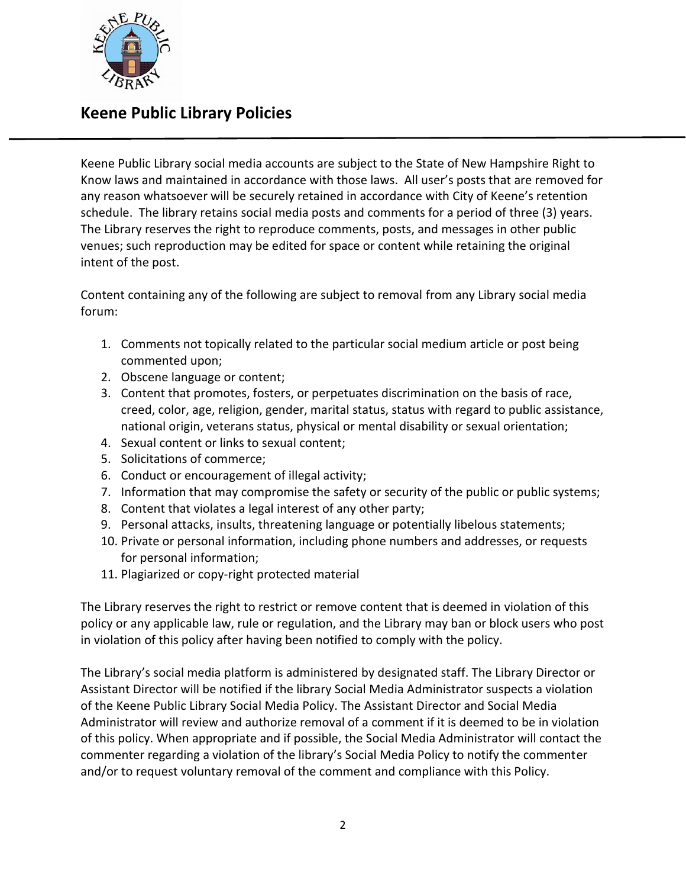

# **Keene Public Library Policies**

Keene Public Library social media accounts are subject to the State of New Hampshire Right to Know laws and maintained in accordance with those laws. All user's posts that are removed for any reason whatsoever will be securely retained in accordance with City of Keene's retention schedule. The library retains social media posts and comments for a period of three (3) years. The Library reserves the right to reproduce comments, posts, and messages in other public venues; such reproduction may be edited for space or content while retaining the original intent of the post.

Content containing any of the following are subject to removal from any Library social media forum:

- 1. Comments not topically related to the particular social medium article or post being commented upon;
- 2. Obscene language or content;
- 3. Content that promotes, fosters, or perpetuates discrimination on the basis of race, creed, color, age, religion, gender, marital status, status with regard to public assistance, national origin, veterans status, physical or mental disability or sexual orientation;
- 4. Sexual content or links to sexual content;
- 5. Solicitations of commerce;
- 6. Conduct or encouragement of illegal activity;
- 7. Information that may compromise the safety or security of the public or public systems;
- 8. Content that violates a legal interest of any other party;
- 9. Personal attacks, insults, threatening language or potentially libelous statements;
- 10. Private or personal information, including phone numbers and addresses, or requests for personal information;
- 11. Plagiarized or copy-right protected material

The Library reserves the right to restrict or remove content that is deemed in violation of this policy or any applicable law, rule or regulation, and the Library may ban or block users who post in violation of this policy after having been notified to comply with the policy.

The Library's social media platform is administered by designated staff. The Library Director or Assistant Director will be notified if the library Social Media Administrator suspects a violation of the Keene Public Library Social Media Policy. The Assistant Director and Social Media Administrator will review and authorize removal of a comment if it is deemed to be in violation of this policy. When appropriate and if possible, the Social Media Administrator will contact the commenter regarding a violation of the library's Social Media Policy to notify the commenter and/or to request voluntary removal of the comment and compliance with this Policy.